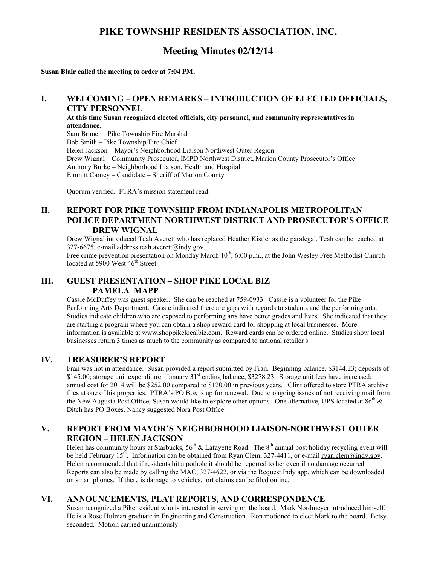# **PIKE TOWNSHIP RESIDENTS ASSOCIATION, INC.**

# **Meeting Minutes 02/12/14**

**Susan Blair called the meeting to order at 7:04 PM.**

#### **I. WELCOMING – OPEN REMARKS – INTRODUCTION OF ELECTED OFFICIALS, CITY PERSONNEL**

**At this time Susan recognized elected officials, city personnel, and community representatives in attendance.** Sam Bruner – Pike Township Fire Marshal Bob Smith – Pike Township Fire Chief Helen Jackson – Mayor's Neighborhood Liaison Northwest Outer Region Drew Wignal – Community Prosecutor, IMPD Northwest District, Marion County Prosecutor's Office Anthony Burke – Neighborhood Liaison, Health and Hospital Emmitt Carney – Candidate – Sheriff of Marion County

Quorum verified. PTRA's mission statement read.

### **II. REPORT FOR PIKE TOWNSHIP FROM INDIANAPOLIS METROPOLITAN POLICE DEPARTMENT NORTHWEST DISTRICT AND PROSECUTOR'S OFFICE DREW WIGNAL**

Drew Wignal introduced Teah Averett who has replaced Heather Kistler as the paralegal. Teah can be reached at 327-6675, e-mail address teah.averett@indy.gov.

Free crime prevention presentation on Monday March 10<sup>th</sup>, 6:00 p.m., at the John Wesley Free Methodist Church located at 5900 West  $46^{\text{th}}$  Street.

## **III. GUEST PRESENTATION – SHOP PIKE LOCAL BIZ PAMELA MAPP**

Cassie McDuffey was guest speaker. She can be reached at 759-0933. Cassie is a volunteer for the Pike Performing Arts Department. Cassie indicated there are gaps with regards to students and the performing arts. Studies indicate children who are exposed to performing arts have better grades and lives. She indicated that they are starting a program where you can obtain a shop reward card for shopping at local businesses. More information is available at www.shoppikelocalbiz.com. Reward cards can be ordered online. Studies show local businesses return 3 times as much to the community as compared to national retailer s.

### **IV. TREASURER'S REPORT**

Fran was not in attendance. Susan provided a report submitted by Fran. Beginning balance, \$3144.23; deposits of \$145.00; storage unit expenditure. January 31<sup>st</sup> ending balance, \$3278.23. Storage unit fees have increased; annual cost for 2014 will be \$252.00 compared to \$120.00 in previous years. Clint offered to store PTRA archive files at one of his properties. PTRA's PO Box is up for renewal. Due to ongoing issues of not receiving mail from the New Augusta Post Office, Susan would like to explore other options. One alternative, UPS located at  $86<sup>th</sup>$  & Ditch has PO Boxes. Nancy suggested Nora Post Office.

## **V. REPORT FROM MAYOR'S NEIGHBORHOOD LIAISON-NORTHWEST OUTER REGION – HELEN JACKSON**

Helen has community hours at Starbucks,  $56^{th}$  & Lafayette Road. The  $8^{th}$  annual post holiday recycling event will be held February 15<sup>th</sup>. Information can be obtained from Ryan Clem, 327-4411, or e-mail ryan.clem@indy.gov. Helen recommended that if residents hit a pothole it should be reported to her even if no damage occurred. Reports can also be made by calling the MAC, 327-4622, or via the Request Indy app, which can be downloaded on smart phones. If there is damage to vehicles, tort claims can be filed online.

### **VI. ANNOUNCEMENTS, PLAT REPORTS, AND CORRESPONDENCE**

Susan recognized a Pike resident who is interested in serving on the board. Mark Nordmeyer introduced himself. He is a Rose Hulman graduate in Engineering and Construction. Ron motioned to elect Mark to the board. Betsy seconded. Motion carried unanimously.